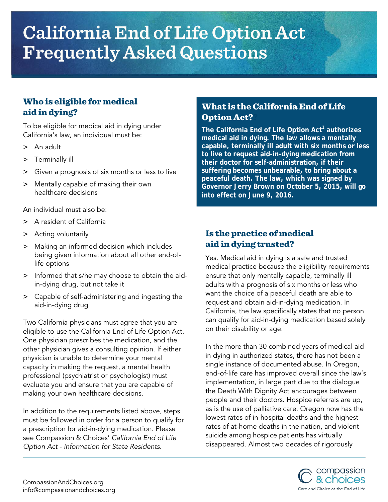# **California End of Life Option Act Frequently Asked Questions**

# Who is eligible for medical aid in dying?

To be eligible for medical aid in dying under California's law, an individual must be:

- > An adult
- > Terminally ill
- > Given a prognosis of six months or less to live
- > Mentally capable of making their own healthcare decisions

An individual must also be:

- > A resident of California
- > Acting voluntarily
- > Making an informed decision which includes being given information about all other end-oflife options
- Informed that s/he may choose to obtain the aidin-dying drug, but not take it
- > Capable of self-administering and ingesting the aid-in-dying drug

Two California physicians must agree that you are eligible to use the California End of Life Option Act. One physician prescribes the medication, and the other physician gives a consulting opinion. If either physician is unable to determine your mental capacity in making the request, a mental health professional (psychiatrist or psychologist) must evaluate you and ensure that you are capable of making your own healthcare decisions.

In addition to the requirements listed above, steps must be followed in order for a person to qualify for a prescription for aid-in-dying medication. Please see Compassion & Choices' *California End of Life Option Act - Information for State Residents*.

# What is the California End of Life Option Act??

**The California End of Life Option Act1 authorizes medical aid in dying. The law allows a mentally capable, terminally ill adult with six months or less to live to request aid-in-dying medication from their doctor for self-administration, if their suffering becomes unbearable, to bring about a peaceful death. The law, which was signed by Governor Jerry Brown on October 5, 2015, will go into effect on June 9, 2016.** 

# Is the practice of medical aid in dying trusted?

Yes. Medical aid in dying is a safe and trusted medical practice because the eligibility requirements ensure that only mentally capable, terminally ill adults with a prognosis of six months or less who want the choice of a peaceful death are able to request and obtain aid-in-dying medication. In California, the law specifically states that no person can qualify for aid-in-dying medication based solely on their disability or age.

In the more than 30 combined years of medical aid in dying in authorized states, there has not been a single instance of documented abuse. In Oregon, end-of-life care has improved overall since the law's implementation, in large part due to the dialogue the Death With Dignity Act encourages between people and their doctors. Hospice referrals are up, as is the use of palliative care. Oregon now has the lowest rates of in-hospital deaths and the highest rates of at-home deaths in the nation, and violent suicide among hospice patients has virtually disappeared. Almost two decades of rigorously

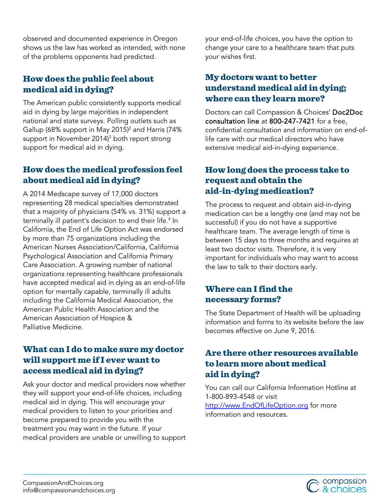observed and documented experience in Oregon shows us the law has worked as intended, with none of the problems opponents had predicted.

# How does the public feel about medical aid in dying?

The American public consistently supports medical aid in dying by large majorities in independent national and state surveys. Polling outlets such as Gallup (68% support in May 2015)<sup>2</sup> and Harris (74% support in November 2014)<sup>3</sup> both report strong support for medical aid in dying.

# How does the medical profession feel about medical aid in dying?

A 2014 Medscape survey of 17,000 doctors representing 28 medical specialties demonstrated that a majority of physicians (54% vs. 31%) support a terminally ill patient's decision to end their life.<sup>4</sup> In California, the End of Life Option Act was endorsed by more than 75 organizations including the American Nurses Association/California, California Psychological Association and California Primary Care Association. A growing number of national organizations representing healthcare professionals have accepted medical aid in dying as an end-of-life option for mentally capable, terminally ill adults including the California Medical Association, the American Public Health Association and the American Association of Hospice & Palliative Medicine.

#### What can I do to make sure my doctor will support me if I ever want to access medical aid in dying?

Ask your doctor and medical providers now whether they will support your end-of-life choices, including medical aid in dying. This will encourage your medical providers to listen to your priorities and become prepared to provide you with the treatment you may want in the future. If your medical providers are unable or unwilling to support your end-of-life choices, you have the option to change your care to a healthcare team that puts your wishes first.

# My doctors want to better understand medical aid in dying; where can they learn more?

Doctors can call Compassion & Choices' Doc2Doc consultation line at 800-247-7421 for a free, confidential consultation and information on end-oflife care with our medical directors who have extensive medical aid-in-dying experience.

# How long does the process take to request and obtain the aid-in-dying medication?

The process to request and obtain aid-in-dying medication can be a lengthy one (and may not be successful) if you do not have a supportive healthcare team. The average length of time is between 15 days to three months and requires at least two doctor visits. Therefore, it is very important for individuals who may want to access the law to talk to their doctors early.

# Where can I find the necessary forms?

The State Department of Health will be uploading information and forms to its website before the law becomes effective on June 9, 2016.

# Are there other resources available to learn more about medical aid in dying?

You can call our California Information Hotline at 1-800-893-4548 or visit [http://www.EndOfLifeOption.org](http://www.endoflifeoption.org/) for more

information and resources.